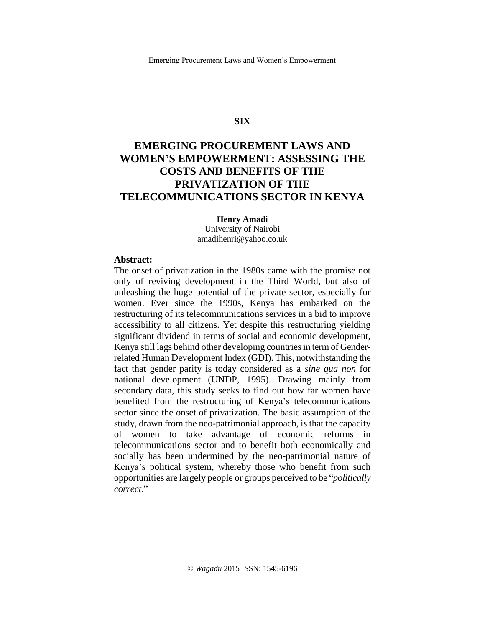### **SIX**

# **EMERGING PROCUREMENT LAWS AND WOMEN'S EMPOWERMENT: ASSESSING THE COSTS AND BENEFITS OF THE PRIVATIZATION OF THE TELECOMMUNICATIONS SECTOR IN KENYA**

**Henry Amadi** University of Nairobi amadihenri@yahoo.co.uk

#### **Abstract:**

The onset of privatization in the 1980s came with the promise not only of reviving development in the Third World, but also of unleashing the huge potential of the private sector, especially for women. Ever since the 1990s, Kenya has embarked on the restructuring of its telecommunications services in a bid to improve accessibility to all citizens. Yet despite this restructuring yielding significant dividend in terms of social and economic development, Kenya still lags behind other developing countries in term of Genderrelated Human Development Index (GDI). This, notwithstanding the fact that gender parity is today considered as a *sine qua non* for national development (UNDP, 1995). Drawing mainly from secondary data, this study seeks to find out how far women have benefited from the restructuring of Kenya's telecommunications sector since the onset of privatization. The basic assumption of the study, drawn from the neo-patrimonial approach, is that the capacity of women to take advantage of economic reforms in telecommunications sector and to benefit both economically and socially has been undermined by the neo-patrimonial nature of Kenya's political system, whereby those who benefit from such opportunities are largely people or groups perceived to be "*politically correct*."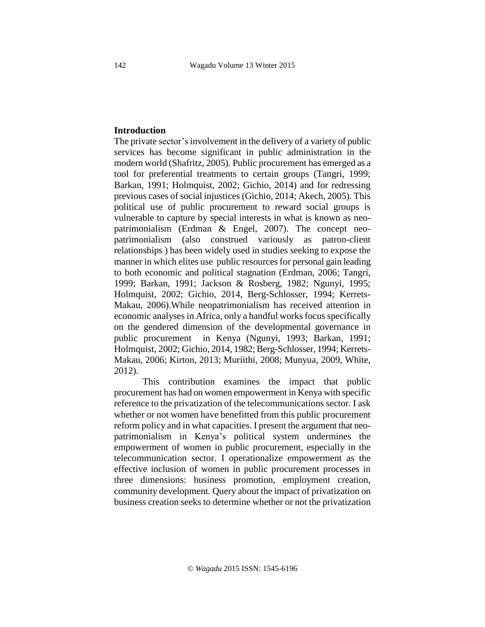## **Introduction**

The private sector's involvement in the delivery of a variety of public services has become significant in public administration in the modern world (Shafritz, 2005). Public procurement has emerged as a tool for preferential treatments to certain groups (Tangri, 1999; Barkan, 1991; Holmquist, 2002; Gichio, 2014) and for redressing previous cases of social injustices (Gichio, 2014; Akech, 2005). This political use of public procurement to reward social groups is vulnerable to capture by special interests in what is known as neopatrimonialism (Erdman & Engel, 2007). The concept neopatrimonialism (also construed variously as patron-client relationships ) has been widely used in studies seeking to expose the manner in which elites use public resources for personal gain leading to both economic and political stagnation (Erdman, 2006; Tangri, 1999; Barkan, 1991; Jackson & Rosberg, 1982; Ngunyi, 1995; Holmquist, 2002; Gichio, 2014, Berg-Schlosser, 1994; Kerrets-Makau, 2006).While neopatrimonialism has received attention in economic analyses in Africa, only a handful works focus specifically on the gendered dimension of the developmental governance in public procurement in Kenya (Ngunyi, 1993; Barkan, 1991; Holmquist, 2002; Gichio, 2014, 1982; Berg-Schlosser, 1994; Kerrets-Makau, 2006; Kirton, 2013; Muriithi, 2008; Munyua, 2009, White, 2012).

This contribution examines the impact that public procurement has had on women empowerment in Kenya with specific reference to the privatization of the telecommunications sector. I ask whether or not women have benefitted from this public procurement reform policy and in what capacities. I present the argument that neopatrimonialism in Kenya's political system undermines the empowerment of women in public procurement, especially in the telecommunication sector. I operationalize empowerment as the effective inclusion of women in public procurement processes in three dimensions: business promotion, employment creation, community development. Query about the impact of privatization on business creation seeks to determine whether or not the privatization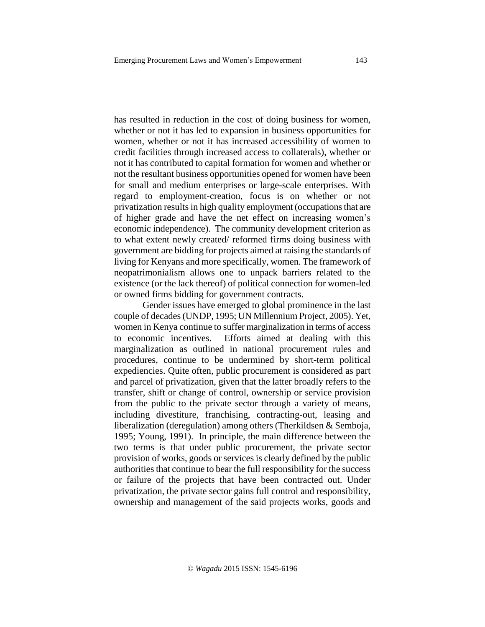has resulted in reduction in the cost of doing business for women, whether or not it has led to expansion in business opportunities for women, whether or not it has increased accessibility of women to credit facilities through increased access to collaterals), whether or not it has contributed to capital formation for women and whether or not the resultant business opportunities opened for women have been for small and medium enterprises or large-scale enterprises. With regard to employment-creation, focus is on whether or not privatization results in high quality employment (occupations that are of higher grade and have the net effect on increasing women's economic independence). The community development criterion as to what extent newly created/ reformed firms doing business with government are bidding for projects aimed at raising the standards of living for Kenyans and more specifically, women. The framework of neopatrimonialism allows one to unpack barriers related to the existence (or the lack thereof) of political connection for women-led or owned firms bidding for government contracts.

Gender issues have emerged to global prominence in the last couple of decades(UNDP, 1995; UN Millennium Project, 2005). Yet, women in Kenya continue to suffer marginalization in terms of access to economic incentives. Efforts aimed at dealing with this marginalization as outlined in national procurement rules and procedures, continue to be undermined by short-term political expediencies. Quite often, public procurement is considered as part and parcel of privatization, given that the latter broadly refers to the transfer, shift or change of control, ownership or service provision from the public to the private sector through a variety of means, including divestiture, franchising, contracting-out, leasing and liberalization (deregulation) among others (Therkildsen & Semboja, 1995; Young, 1991). In principle, the main difference between the two terms is that under public procurement, the private sector provision of works, goods or services is clearly defined by the public authorities that continue to bear the full responsibility for the success or failure of the projects that have been contracted out. Under privatization, the private sector gains full control and responsibility, ownership and management of the said projects works, goods and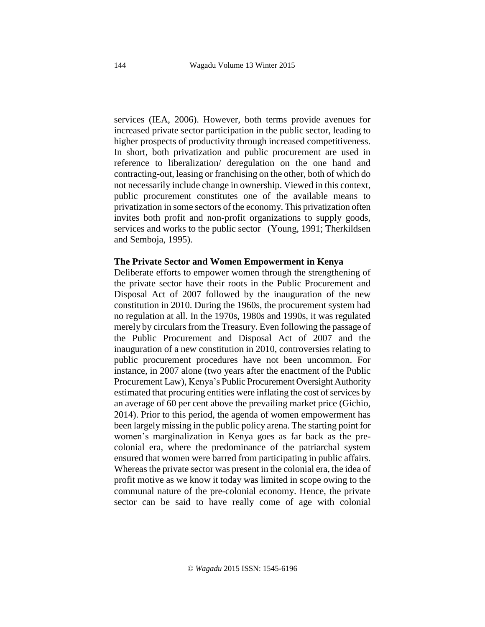services (IEA, 2006). However, both terms provide avenues for increased private sector participation in the public sector, leading to higher prospects of productivity through increased competitiveness. In short, both privatization and public procurement are used in reference to liberalization/ deregulation on the one hand and contracting-out, leasing or franchising on the other, both of which do not necessarily include change in ownership. Viewed in this context, public procurement constitutes one of the available means to privatization in some sectors of the economy. This privatization often invites both profit and non-profit organizations to supply goods, services and works to the public sector (Young, 1991; Therkildsen and Semboja, 1995).

#### **The Private Sector and Women Empowerment in Kenya**

Deliberate efforts to empower women through the strengthening of the private sector have their roots in the Public Procurement and Disposal Act of 2007 followed by the inauguration of the new constitution in 2010. During the 1960s, the procurement system had no regulation at all. In the 1970s, 1980s and 1990s, it was regulated merely by circulars from the Treasury. Even following the passage of the Public Procurement and Disposal Act of 2007 and the inauguration of a new constitution in 2010, controversies relating to public procurement procedures have not been uncommon. For instance, in 2007 alone (two years after the enactment of the Public Procurement Law), Kenya's Public Procurement Oversight Authority estimated that procuring entities were inflating the cost of services by an average of 60 per cent above the prevailing market price (Gichio, 2014). Prior to this period, the agenda of women empowerment has been largely missing in the public policy arena. The starting point for women's marginalization in Kenya goes as far back as the precolonial era, where the predominance of the patriarchal system ensured that women were barred from participating in public affairs. Whereas the private sector was present in the colonial era, the idea of profit motive as we know it today was limited in scope owing to the communal nature of the pre-colonial economy. Hence, the private sector can be said to have really come of age with colonial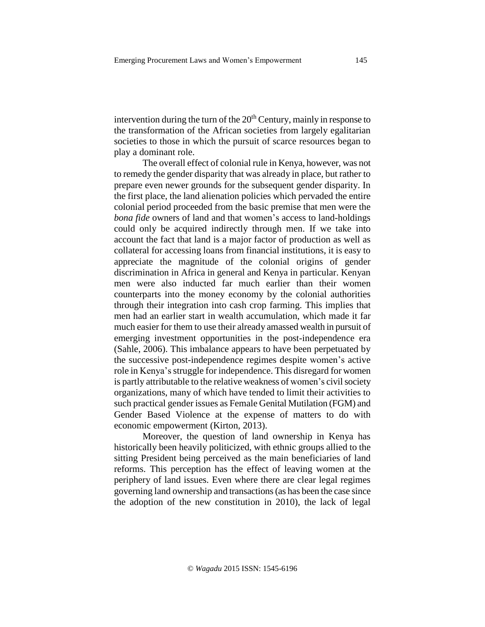intervention during the turn of the  $20<sup>th</sup>$  Century, mainly in response to the transformation of the African societies from largely egalitarian societies to those in which the pursuit of scarce resources began to play a dominant role.

The overall effect of colonial rule in Kenya, however, was not to remedy the gender disparity that was already in place, but rather to prepare even newer grounds for the subsequent gender disparity. In the first place, the land alienation policies which pervaded the entire colonial period proceeded from the basic premise that men were the *bona fide* owners of land and that women's access to land-holdings could only be acquired indirectly through men. If we take into account the fact that land is a major factor of production as well as collateral for accessing loans from financial institutions, it is easy to appreciate the magnitude of the colonial origins of gender discrimination in Africa in general and Kenya in particular. Kenyan men were also inducted far much earlier than their women counterparts into the money economy by the colonial authorities through their integration into cash crop farming. This implies that men had an earlier start in wealth accumulation, which made it far much easier for them to use their already amassed wealth in pursuit of emerging investment opportunities in the post-independence era (Sahle, 2006). This imbalance appears to have been perpetuated by the successive post-independence regimes despite women's active role in Kenya's struggle for independence. This disregard for women is partly attributable to the relative weakness of women's civil society organizations, many of which have tended to limit their activities to such practical gender issues as Female Genital Mutilation (FGM) and Gender Based Violence at the expense of matters to do with economic empowerment (Kirton, 2013).

Moreover, the question of land ownership in Kenya has historically been heavily politicized, with ethnic groups allied to the sitting President being perceived as the main beneficiaries of land reforms. This perception has the effect of leaving women at the periphery of land issues. Even where there are clear legal regimes governing land ownership and transactions(as has been the case since the adoption of the new constitution in 2010), the lack of legal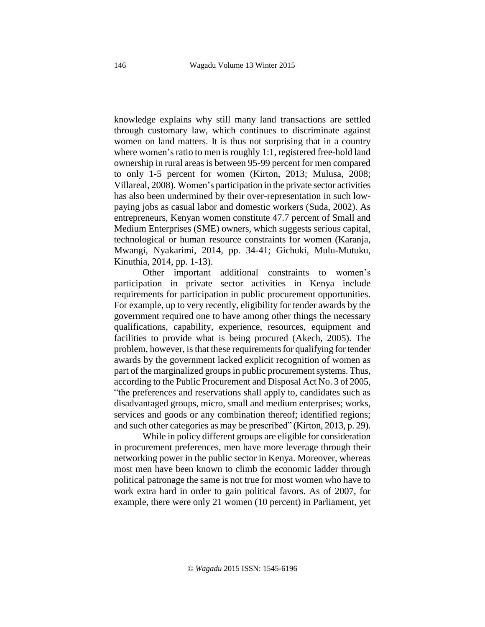knowledge explains why still many land transactions are settled through customary law, which continues to discriminate against women on land matters. It is thus not surprising that in a country where women's ratio to men is roughly  $1:1$ , registered free-hold land ownership in rural areas is between 95-99 percent for men compared to only 1-5 percent for women (Kirton, 2013; Mulusa, 2008; Villareal, 2008). Women's participation in the private sector activities has also been undermined by their over-representation in such lowpaying jobs as casual labor and domestic workers (Suda, 2002). As entrepreneurs, Kenyan women constitute 47.7 percent of Small and Medium Enterprises (SME) owners, which suggests serious capital, technological or human resource constraints for women (Karanja, Mwangi, Nyakarimi, 2014, pp. 34-41; Gichuki, Mulu-Mutuku, Kinuthia, 2014, pp. 1-13).

Other important additional constraints to women's participation in private sector activities in Kenya include requirements for participation in public procurement opportunities. For example, up to very recently, eligibility for tender awards by the government required one to have among other things the necessary qualifications, capability, experience, resources, equipment and facilities to provide what is being procured (Akech, 2005). The problem, however, is that these requirements for qualifying for tender awards by the government lacked explicit recognition of women as part of the marginalized groups in public procurement systems. Thus, according to the Public Procurement and Disposal Act No. 3 of 2005, "the preferences and reservations shall apply to, candidates such as disadvantaged groups, micro, small and medium enterprises; works, services and goods or any combination thereof; identified regions; and such other categories as may be prescribed" (Kirton, 2013, p. 29).

While in policy different groups are eligible for consideration in procurement preferences, men have more leverage through their networking power in the public sector in Kenya. Moreover, whereas most men have been known to climb the economic ladder through political patronage the same is not true for most women who have to work extra hard in order to gain political favors. As of 2007, for example, there were only 21 women (10 percent) in Parliament, yet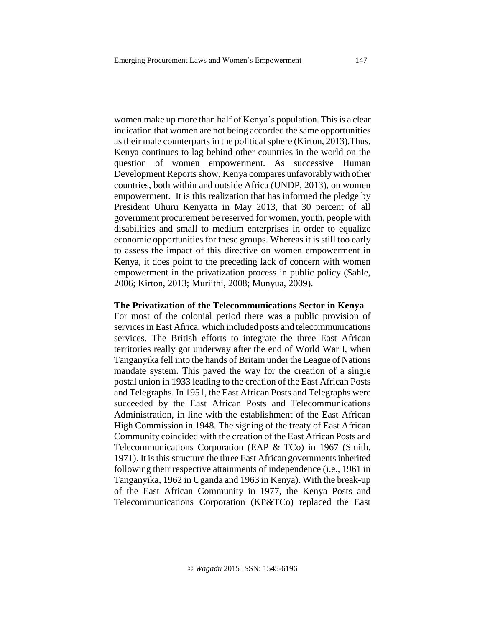women make up more than half of Kenya's population. This is a clear indication that women are not being accorded the same opportunities as their male counterparts in the political sphere (Kirton, 2013). Thus, Kenya continues to lag behind other countries in the world on the question of women empowerment. As successive Human Development Reports show, Kenya compares unfavorably with other countries, both within and outside Africa (UNDP, 2013), on women empowerment. It is this realization that has informed the pledge by President Uhuru Kenyatta in May 2013, that 30 percent of all government procurement be reserved for women, youth, people with disabilities and small to medium enterprises in order to equalize economic opportunities for these groups. Whereas it is still too early to assess the impact of this directive on women empowerment in Kenya, it does point to the preceding lack of concern with women empowerment in the privatization process in public policy (Sahle, 2006; Kirton, 2013; Muriithi, 2008; Munyua, 2009).

#### **The Privatization of the Telecommunications Sector in Kenya**

For most of the colonial period there was a public provision of services in East Africa, which included posts and telecommunications services. The British efforts to integrate the three East African territories really got underway after the end of World War I, when Tanganyika fell into the hands of Britain under the League of Nations mandate system. This paved the way for the creation of a single postal union in 1933 leading to the creation of the East African Posts and Telegraphs. In 1951, the East African Posts and Telegraphs were succeeded by the East African Posts and Telecommunications Administration, in line with the establishment of the East African High Commission in 1948. The signing of the treaty of East African Community coincided with the creation of the East African Posts and Telecommunications Corporation (EAP & TCo) in 1967 (Smith, 1971). It is this structure the three East African governments inherited following their respective attainments of independence (i.e., 1961 in Tanganyika, 1962 in Uganda and 1963 in Kenya). With the break-up of the East African Community in 1977, the Kenya Posts and Telecommunications Corporation (KP&TCo) replaced the East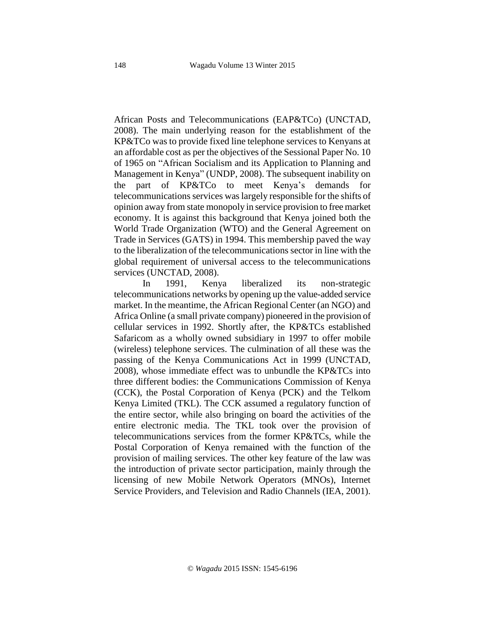African Posts and Telecommunications (EAP&TCo) (UNCTAD, 2008). The main underlying reason for the establishment of the KP&TCo was to provide fixed line telephone services to Kenyans at an affordable cost as per the objectives of the Sessional Paper No. 10 of 1965 on "African Socialism and its Application to Planning and Management in Kenya" (UNDP, 2008). The subsequent inability on the part of KP&TCo to meet Kenya's demands for telecommunications services waslargely responsible for the shifts of opinion away from state monopoly in service provision to free market economy. It is against this background that Kenya joined both the World Trade Organization (WTO) and the General Agreement on Trade in Services (GATS) in 1994. This membership paved the way to the liberalization of the telecommunications sector in line with the global requirement of universal access to the telecommunications services (UNCTAD, 2008).

In 1991, Kenya liberalized its non-strategic telecommunications networks by opening up the value-added service market. In the meantime, the African Regional Center (an NGO) and Africa Online (a small private company) pioneered in the provision of cellular services in 1992. Shortly after, the KP&TCs established Safaricom as a wholly owned subsidiary in 1997 to offer mobile (wireless) telephone services. The culmination of all these was the passing of the Kenya Communications Act in 1999 (UNCTAD, 2008), whose immediate effect was to unbundle the KP&TCs into three different bodies: the Communications Commission of Kenya (CCK), the Postal Corporation of Kenya (PCK) and the Telkom Kenya Limited (TKL). The CCK assumed a regulatory function of the entire sector, while also bringing on board the activities of the entire electronic media. The TKL took over the provision of telecommunications services from the former KP&TCs, while the Postal Corporation of Kenya remained with the function of the provision of mailing services. The other key feature of the law was the introduction of private sector participation, mainly through the licensing of new Mobile Network Operators (MNOs), Internet Service Providers, and Television and Radio Channels (IEA, 2001).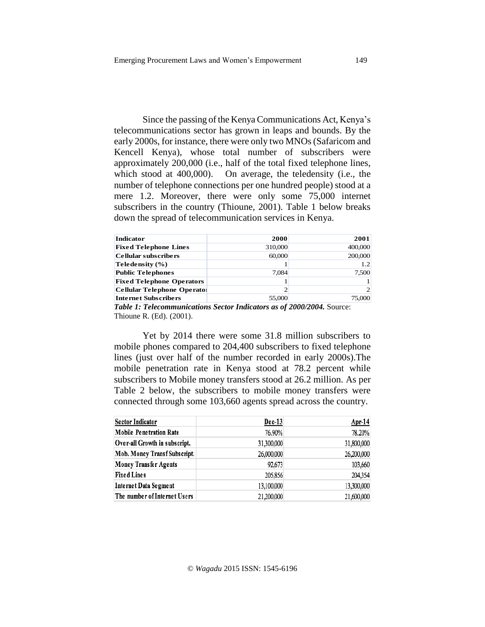Since the passing of the Kenya Communications Act, Kenya's telecommunications sector has grown in leaps and bounds. By the early 2000s, for instance, there were only two MNOs(Safaricom and Kencell Kenya), whose total number of subscribers were approximately 200,000 (i.e., half of the total fixed telephone lines, which stood at 400,000). On average, the teledensity (i.e., the number of telephone connections per one hundred people) stood at a mere 1.2. Moreover, there were only some 75,000 internet subscribers in the country (Thioune, 2001). Table 1 below breaks down the spread of telecommunication services in Kenya.

| <b>Indicator</b>                   | 2000    | 2001    |
|------------------------------------|---------|---------|
| <b>Fixed Telephone Lines</b>       | 310,000 | 400,000 |
| <b>Cellular subscribers</b>        | 60,000  | 200,000 |
| Teledensity (%)                    |         | 1.2     |
| <b>Public Telephones</b>           | 7.084   | 7,500   |
| <b>Fixed Telephone Operators</b>   |         |         |
| <b>Cellular Telephone Operator</b> | 2       | 2       |
| <b>Internet Subscribers</b>        | 55,000  | 75,000  |

*Table 1: Telecommunications Sector Indicators as of 2000/2004.* Source: Thioune R. (Ed). (2001).

Yet by 2014 there were some 31.8 million subscribers to mobile phones compared to 204,400 subscribers to fixed telephone lines (just over half of the number recorded in early 2000s).The mobile penetration rate in Kenya stood at 78.2 percent while subscribers to Mobile money transfers stood at 26.2 million. As per Table 2 below, the subscribers to mobile money transfers were connected through some 103,660 agents spread across the country.

| <b>Sector Indicator</b>        | $Dec-13$   | $Apr-14$   |
|--------------------------------|------------|------------|
| <b>Mobile Penetration Rate</b> | 76.90%     | 78.20%     |
| Over-all Growth in subscript.  | 31,300,000 | 31,800,000 |
| Mob. Money Transf Subscript.   | 26,000,000 | 26,200,000 |
| <b>Money Transfer Agents</b>   | 92,673     | 103,660    |
| <b>Fixed Lines</b>             | 205,856    | 204,354    |
| Internet Data Segment          | 13,100,000 | 13,300,000 |
| The number of Internet Users   | 21,200,000 | 21,600,000 |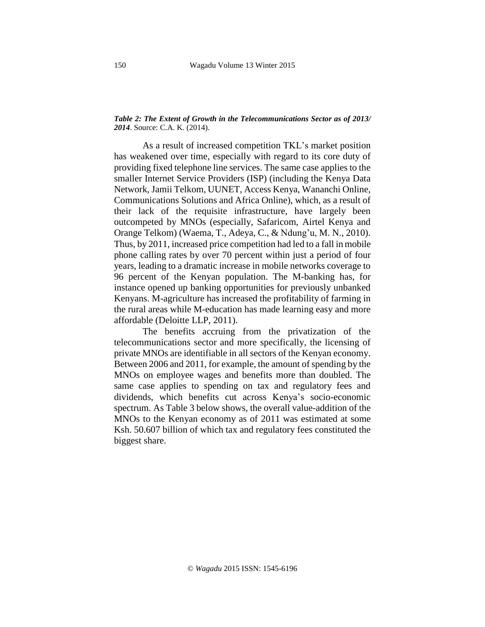#### *Table 2: The Extent of Growth in the Telecommunications Sector as of 2013/ 2014*. Source: C.A. K. (2014).

As a result of increased competition TKL's market position has weakened over time, especially with regard to its core duty of providing fixed telephone line services. The same case applies to the smaller Internet Service Providers (ISP) (including the Kenya Data Network, Jamii Telkom, UUNET, Access Kenya, Wananchi Online, Communications Solutions and Africa Online), which, as a result of their lack of the requisite infrastructure, have largely been outcompeted by MNOs (especially, Safaricom, Airtel Kenya and Orange Telkom) (Waema, T., Adeya, C., & Ndung'u, M. N., 2010). Thus, by 2011, increased price competition had led to a fall in mobile phone calling rates by over 70 percent within just a period of four years, leading to a dramatic increase in mobile networks coverage to 96 percent of the Kenyan population. The M-banking has, for instance opened up banking opportunities for previously unbanked Kenyans. M-agriculture has increased the profitability of farming in the rural areas while M-education has made learning easy and more affordable (Deloitte LLP, 2011).

The benefits accruing from the privatization of the telecommunications sector and more specifically, the licensing of private MNOs are identifiable in all sectors of the Kenyan economy. Between 2006 and 2011, for example, the amount of spending by the MNOs on employee wages and benefits more than doubled. The same case applies to spending on tax and regulatory fees and dividends, which benefits cut across Kenya's socio-economic spectrum. As Table 3 below shows, the overall value-addition of the MNOs to the Kenyan economy as of 2011 was estimated at some Ksh. 50.607 billion of which tax and regulatory fees constituted the biggest share.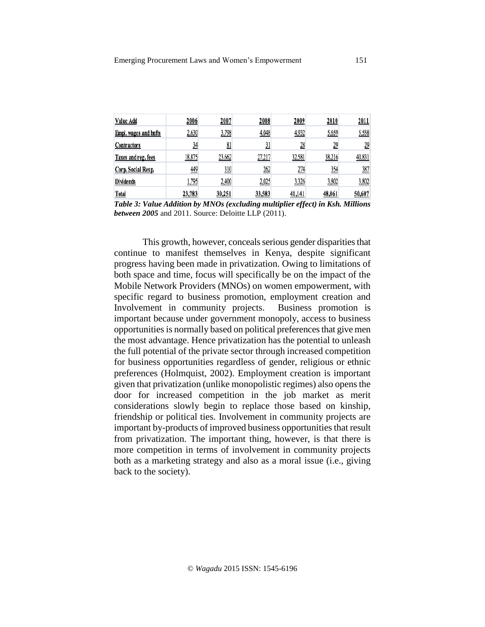| Value Add                    | 2006   | 2007   | 2008           | 2009           | 2010           | 2011             |
|------------------------------|--------|--------|----------------|----------------|----------------|------------------|
| <b>Empl.</b> wages and bnfts | 2,630  | 3,798  | 4,048          | 4,932          | 5,659          | 5,558            |
| <b>Contractors</b>           | 34     | 81     | $\frac{31}{2}$ | $\frac{28}{2}$ | $\frac{29}{2}$ | $\underline{29}$ |
| Taxes and reg. fees          | 18,875 | 23,662 | 27,217         | 32,581         | 38,216         | 40,831           |
| Corp. Social Resp.           | 449    | 310    | 262            | 274            | 354            | 387              |
| Dividends                    | 1,795  | 2,400  | 2,025          | 3,326          | 3,802          | 3,802            |
| Total                        | 23,783 | 30.251 | 33,583         | 41,141         | 48,061         | 50,607           |

*Table 3: Value Addition by MNOs (excluding multiplier effect) in Ksh. Millions between 2005* and 2011. Source: Deloitte LLP (2011).

This growth, however, conceals serious gender disparities that continue to manifest themselves in Kenya, despite significant progress having been made in privatization. Owing to limitations of both space and time, focus will specifically be on the impact of the Mobile Network Providers (MNOs) on women empowerment, with specific regard to business promotion, employment creation and Involvement in community projects. Business promotion is important because under government monopoly, access to business opportunities is normally based on political preferencesthat give men the most advantage. Hence privatization has the potential to unleash the full potential of the private sector through increased competition for business opportunities regardless of gender, religious or ethnic preferences (Holmquist, 2002). Employment creation is important given that privatization (unlike monopolistic regimes) also opensthe door for increased competition in the job market as merit considerations slowly begin to replace those based on kinship, friendship or political ties. Involvement in community projects are important by-products of improved business opportunities that result from privatization. The important thing, however, is that there is more competition in terms of involvement in community projects both as a marketing strategy and also as a moral issue (i.e., giving back to the society).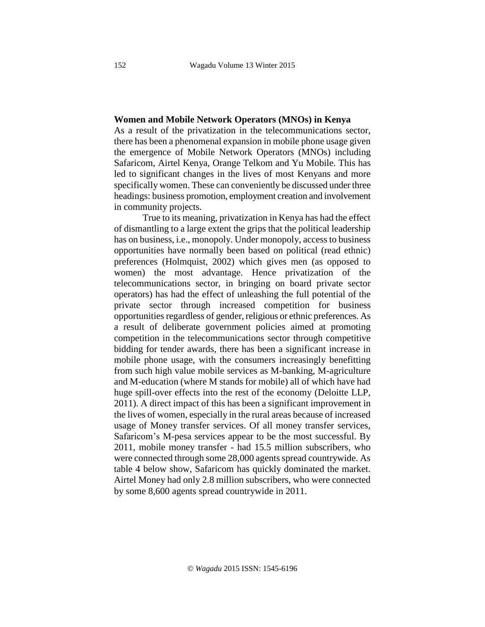#### **Women and Mobile Network Operators (MNOs) in Kenya**

As a result of the privatization in the telecommunications sector, there has been a phenomenal expansion in mobile phone usage given the emergence of Mobile Network Operators (MNOs) including Safaricom, Airtel Kenya, Orange Telkom and Yu Mobile. This has led to significant changes in the lives of most Kenyans and more specifically women. These can conveniently be discussed under three headings: business promotion, employment creation and involvement in community projects.

True to its meaning, privatization in Kenya has had the effect of dismantling to a large extent the grips that the political leadership has on business, i.e., monopoly. Under monopoly, access to business opportunities have normally been based on political (read ethnic) preferences (Holmquist, 2002) which gives men (as opposed to women) the most advantage. Hence privatization of the telecommunications sector, in bringing on board private sector operators) has had the effect of unleashing the full potential of the private sector through increased competition for business opportunities regardless of gender, religious or ethnic preferences. As a result of deliberate government policies aimed at promoting competition in the telecommunications sector through competitive bidding for tender awards, there has been a significant increase in mobile phone usage, with the consumers increasingly benefitting from such high value mobile services as M-banking, M-agriculture and M-education (where M stands for mobile) all of which have had huge spill-over effects into the rest of the economy (Deloitte LLP, 2011). A direct impact of this has been a significant improvement in the lives of women, especially in the rural areas because of increased usage of Money transfer services. Of all money transfer services, Safaricom's M-pesa services appear to be the most successful. By 2011, mobile money transfer - had 15.5 million subscribers, who were connected through some 28,000 agents spread countrywide. As table 4 below show, Safaricom has quickly dominated the market. Airtel Money had only 2.8 million subscribers, who were connected by some 8,600 agents spread countrywide in 2011.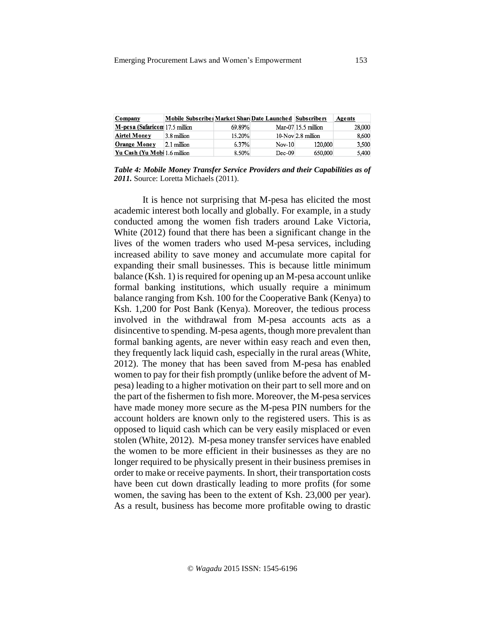| Company                        | Mobile Subscribe   Market Shard Date Launched   Subscribers |        |          |                       | Agents |
|--------------------------------|-------------------------------------------------------------|--------|----------|-----------------------|--------|
| M-pesa (Safaricom 17.5 million |                                                             | 69.89% |          | Mar-07 $15.5$ million | 28,000 |
| Airtel Money                   | 3.8 million                                                 | 15.20% |          | $10-Nov$ 2.8 million  | 8,600  |
| <b>Orange Money</b>            | 2.1 million                                                 | 6.37%  | $Nov-10$ | 120,000               | 3,500  |
| Yu Cash (Yu Mobi 1.6 million   |                                                             | 8.50%  | $Dec-09$ | 650,000               | 5,400  |

*Table 4: Mobile Money Transfer Service Providers and their Capabilities as of 2011.* Source: Loretta Michaels (2011).

It is hence not surprising that M-pesa has elicited the most academic interest both locally and globally. For example, in a study conducted among the women fish traders around Lake Victoria, White (2012) found that there has been a significant change in the lives of the women traders who used M-pesa services, including increased ability to save money and accumulate more capital for expanding their small businesses. This is because little minimum balance  $(Ksh. 1)$  is required for opening up an M-pesa account unlike formal banking institutions, which usually require a minimum balance ranging from Ksh. 100 for the Cooperative Bank (Kenya) to Ksh. 1,200 for Post Bank (Kenya). Moreover, the tedious process involved in the withdrawal from M-pesa accounts acts as a disincentive to spending. M-pesa agents, though more prevalent than formal banking agents, are never within easy reach and even then, they frequently lack liquid cash, especially in the rural areas (White, 2012). The money that has been saved from M-pesa has enabled women to pay for their fish promptly (unlike before the advent of Mpesa) leading to a higher motivation on their part to sell more and on the part of the fishermen to fish more. Moreover, the M-pesa services have made money more secure as the M-pesa PIN numbers for the account holders are known only to the registered users. This is as opposed to liquid cash which can be very easily misplaced or even stolen (White, 2012). M-pesa money transfer services have enabled the women to be more efficient in their businesses as they are no longer required to be physically present in their business premises in order to make or receive payments. In short, their transportation costs have been cut down drastically leading to more profits (for some women, the saving has been to the extent of Ksh. 23,000 per year). As a result, business has become more profitable owing to drastic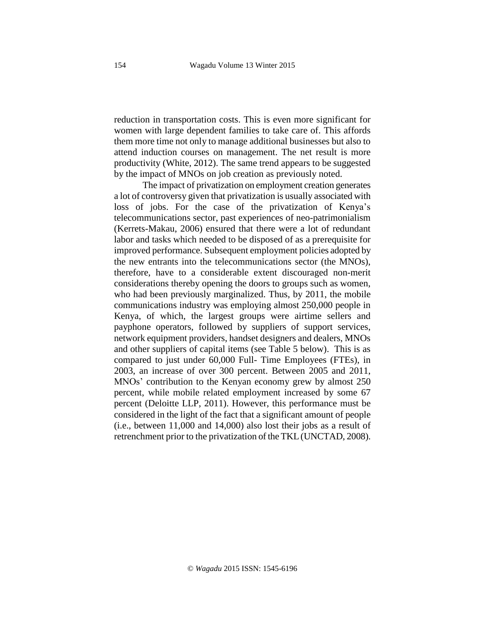reduction in transportation costs. This is even more significant for women with large dependent families to take care of. This affords them more time not only to manage additional businesses but also to attend induction courses on management. The net result is more productivity (White, 2012). The same trend appears to be suggested by the impact of MNOs on job creation as previously noted.

The impact of privatization on employment creation generates a lot of controversy given that privatization is usually associated with loss of jobs. For the case of the privatization of Kenya's telecommunications sector, past experiences of neo-patrimonialism (Kerrets-Makau, 2006) ensured that there were a lot of redundant labor and tasks which needed to be disposed of as a prerequisite for improved performance. Subsequent employment policies adopted by the new entrants into the telecommunications sector (the MNOs), therefore, have to a considerable extent discouraged non-merit considerations thereby opening the doors to groups such as women, who had been previously marginalized. Thus, by 2011, the mobile communications industry was employing almost 250,000 people in Kenya, of which, the largest groups were airtime sellers and payphone operators, followed by suppliers of support services, network equipment providers, handset designers and dealers, MNOs and other suppliers of capital items (see Table 5 below). This is as compared to just under 60,000 Full- Time Employees (FTEs), in 2003, an increase of over 300 percent. Between 2005 and 2011, MNOs' contribution to the Kenyan economy grew by almost 250 percent, while mobile related employment increased by some 67 percent (Deloitte LLP, 2011). However, this performance must be considered in the light of the fact that a significant amount of people (i.e., between 11,000 and 14,000) also lost their jobs as a result of retrenchment prior to the privatization of the TKL (UNCTAD, 2008).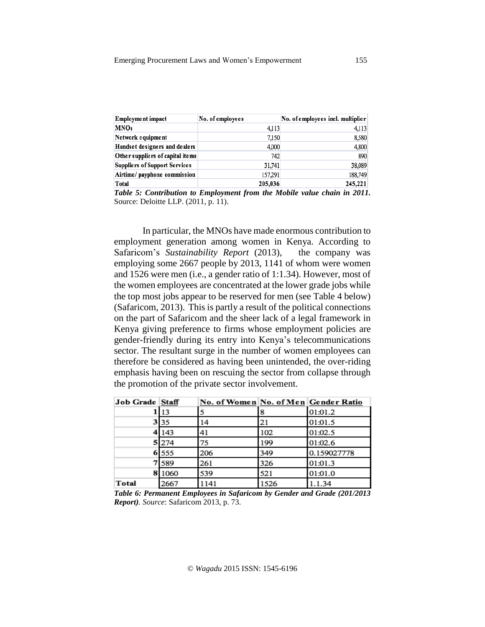| <b>Employment impact</b>             | No. of employees | No. of employees incl. multiplier |
|--------------------------------------|------------------|-----------------------------------|
| <b>MNOs</b>                          | 4,113            | 4,113                             |
| Network equipment                    | 7,150            | 8,580                             |
| Handset designers and dealers        | 4,000            | 4,800                             |
| Other suppliers of capital items     | 742              | 890                               |
| <b>Suppliers of Support Services</b> | 31,741           | 38,089                            |
| Airtime/ payphone commission         | 157,291          | 188,749                           |
| Total                                | 205,036          | 245.221                           |

*Table 5: Contribution to Employment from the Mobile value chain in 2011.* Source: Deloitte LLP. (2011, p. 11).

In particular, the MNOs have made enormous contribution to employment generation among women in Kenya. According to Safaricom's *Sustainability Report* (2013), the company was employing some 2667 people by 2013, 1141 of whom were women and 1526 were men (i.e., a gender ratio of 1:1.34). However, most of the women employees are concentrated at the lower grade jobs while the top most jobs appear to be reserved for men (see Table 4 below) (Safaricom, 2013). This is partly a result of the political connections on the part of Safaricom and the sheer lack of a legal framework in Kenya giving preference to firms whose employment policies are gender-friendly during its entry into Kenya's telecommunications sector. The resultant surge in the number of women employees can therefore be considered as having been unintended, the over-riding emphasis having been on rescuing the sector from collapse through the promotion of the private sector involvement.

| Job Grade Staff |       | No. of Women No. of Men Gender Ratio |      |             |
|-----------------|-------|--------------------------------------|------|-------------|
|                 | 13    |                                      |      | 01:01.2     |
|                 | 3 35  | 14                                   | 21   | 01:01.5     |
|                 | 143   | 41                                   | 102  | 01:02.5     |
|                 | 5 274 | 75                                   | 199  | 01:02.6     |
|                 | 6 555 | 206                                  | 349  | 0.159027778 |
|                 | 589   | 261                                  | 326  | 01:01.3     |
| 8               | 1060  | 539                                  | 521  | 01:01.0     |
| Total           | 2667  | 1141                                 | 1526 | 1.1.34      |

*Table 6: Permanent Employees in Safaricom by Gender and Grade (201/2013 Report). Source*: Safaricom 2013, p. 73.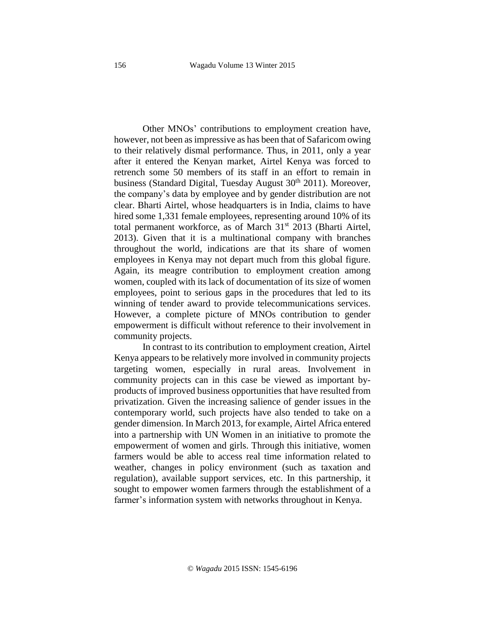Other MNOs' contributions to employment creation have, however, not been asimpressive as has been that of Safaricom owing to their relatively dismal performance. Thus, in 2011, only a year after it entered the Kenyan market, Airtel Kenya was forced to retrench some 50 members of its staff in an effort to remain in business (Standard Digital, Tuesday August  $30<sup>th</sup> 2011$ ). Moreover, the company's data by employee and by gender distribution are not clear. Bharti Airtel, whose headquarters is in India, claims to have hired some 1,331 female employees, representing around 10% of its total permanent workforce, as of March 31<sup>st</sup> 2013 (Bharti Airtel, 2013). Given that it is a multinational company with branches throughout the world, indications are that its share of women employees in Kenya may not depart much from this global figure. Again, its meagre contribution to employment creation among women, coupled with its lack of documentation of its size of women employees, point to serious gaps in the procedures that led to its winning of tender award to provide telecommunications services. However, a complete picture of MNOs contribution to gender empowerment is difficult without reference to their involvement in community projects.

In contrast to its contribution to employment creation, Airtel Kenya appears to be relatively more involved in community projects targeting women, especially in rural areas. Involvement in community projects can in this case be viewed as important byproducts of improved business opportunities that have resulted from privatization. Given the increasing salience of gender issues in the contemporary world, such projects have also tended to take on a gender dimension. In March 2013, for example, Airtel Africa entered into a partnership with UN Women in an initiative to promote the empowerment of women and girls. Through this initiative, women farmers would be able to access real time information related to weather, changes in policy environment (such as taxation and regulation), available support services, etc. In this partnership, it sought to empower women farmers through the establishment of a farmer's information system with networks throughout in Kenya.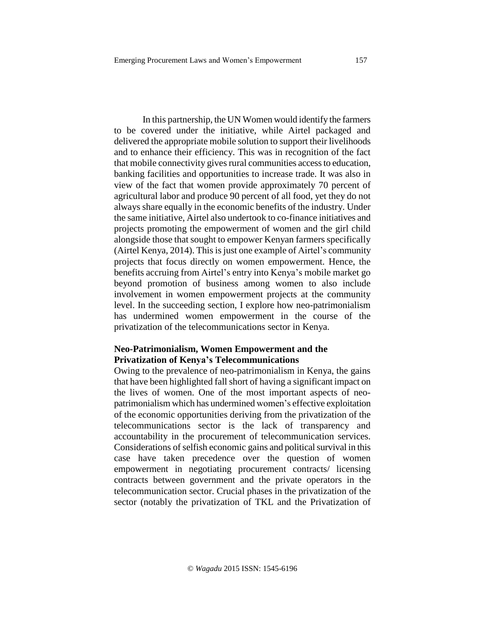In this partnership, the UN Women would identify the farmers to be covered under the initiative, while Airtel packaged and delivered the appropriate mobile solution to support their livelihoods and to enhance their efficiency. This was in recognition of the fact that mobile connectivity gives rural communities access to education, banking facilities and opportunities to increase trade. It was also in view of the fact that women provide approximately 70 percent of agricultural labor and produce 90 percent of all food, yet they do not always share equally in the economic benefits of the industry. Under the same initiative, Airtel also undertook to co-finance initiatives and projects promoting the empowerment of women and the girl child alongside those that sought to empower Kenyan farmers specifically (Airtel Kenya, 2014). This is just one example of Airtel's community projects that focus directly on women empowerment. Hence, the benefits accruing from Airtel's entry into Kenya's mobile market go beyond promotion of business among women to also include involvement in women empowerment projects at the community level. In the succeeding section, I explore how neo-patrimonialism has undermined women empowerment in the course of the privatization of the telecommunications sector in Kenya.

## **Neo-Patrimonialism, Women Empowerment and the Privatization of Kenya's Telecommunications**

Owing to the prevalence of neo-patrimonialism in Kenya, the gains that have been highlighted fall short of having a significant impact on the lives of women. One of the most important aspects of neopatrimonialism which has undermined women's effective exploitation of the economic opportunities deriving from the privatization of the telecommunications sector is the lack of transparency and accountability in the procurement of telecommunication services. Considerations of selfish economic gains and political survival in this case have taken precedence over the question of women empowerment in negotiating procurement contracts/ licensing contracts between government and the private operators in the telecommunication sector. Crucial phases in the privatization of the sector (notably the privatization of TKL and the Privatization of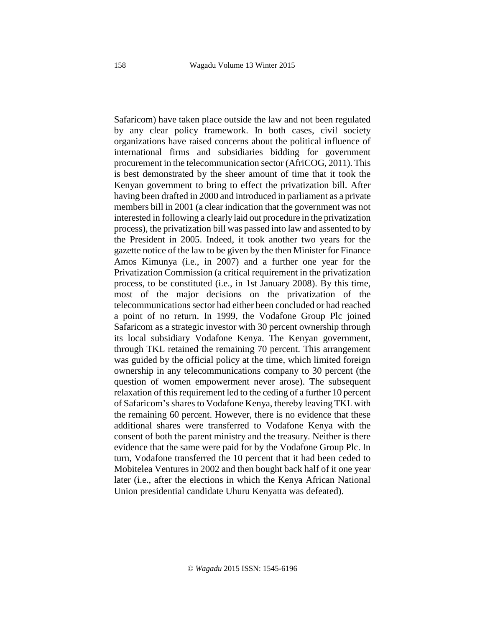Safaricom) have taken place outside the law and not been regulated by any clear policy framework. In both cases, civil society organizations have raised concerns about the political influence of international firms and subsidiaries bidding for government procurement in the telecommunication sector (AfriCOG, 2011). This is best demonstrated by the sheer amount of time that it took the Kenyan government to bring to effect the privatization bill. After having been drafted in 2000 and introduced in parliament as a private members bill in 2001 (a clear indication that the government was not interested in following a clearly laid out procedure in the privatization process), the privatization bill was passed into law and assented to by the President in 2005. Indeed, it took another two years for the gazette notice of the law to be given by the then Minister for Finance Amos Kimunya (i.e., in 2007) and a further one year for the Privatization Commission (a critical requirement in the privatization process, to be constituted (i.e., in 1st January 2008). By this time, most of the major decisions on the privatization of the telecommunications sector had either been concluded or had reached a point of no return. In 1999, the Vodafone Group Plc joined Safaricom as a strategic investor with 30 percent ownership through its local subsidiary Vodafone Kenya. The Kenyan government, through TKL retained the remaining 70 percent. This arrangement was guided by the official policy at the time, which limited foreign ownership in any telecommunications company to 30 percent (the question of women empowerment never arose). The subsequent relaxation of this requirement led to the ceding of a further 10 percent of Safaricom's shares to Vodafone Kenya, thereby leaving TKL with the remaining 60 percent. However, there is no evidence that these additional shares were transferred to Vodafone Kenya with the consent of both the parent ministry and the treasury. Neither is there evidence that the same were paid for by the Vodafone Group Plc. In turn, Vodafone transferred the 10 percent that it had been ceded to Mobitelea Ventures in 2002 and then bought back half of it one year later (i.e., after the elections in which the Kenya African National Union presidential candidate Uhuru Kenyatta was defeated).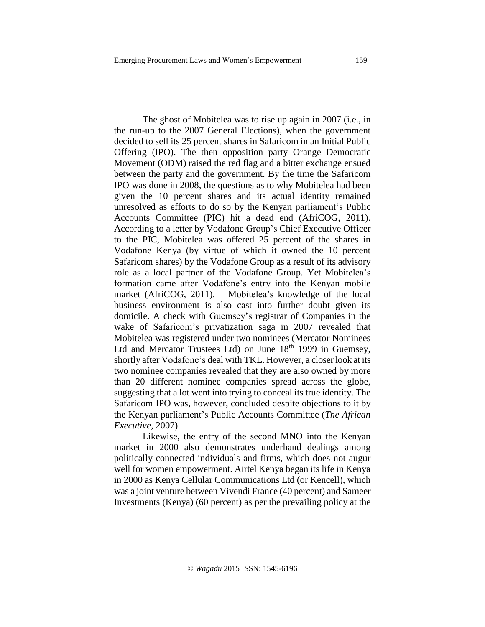The ghost of Mobitelea was to rise up again in 2007 (i.e., in the run-up to the 2007 General Elections), when the government decided to sell its 25 percent shares in Safaricom in an Initial Public Offering (IPO). The then opposition party Orange Democratic Movement (ODM) raised the red flag and a bitter exchange ensued between the party and the government. By the time the Safaricom IPO was done in 2008, the questions as to why Mobitelea had been given the 10 percent shares and its actual identity remained unresolved as efforts to do so by the Kenyan parliament's Public Accounts Committee (PIC) hit a dead end (AfriCOG, 2011). According to a letter by Vodafone Group's Chief Executive Officer to the PIC, Mobitelea was offered 25 percent of the shares in Vodafone Kenya (by virtue of which it owned the 10 percent Safaricom shares) by the Vodafone Group as a result of its advisory role as a local partner of the Vodafone Group. Yet Mobitelea's formation came after Vodafone's entry into the Kenyan mobile market (AfriCOG, 2011). Mobitelea's knowledge of the local business environment is also cast into further doubt given its domicile. A check with Guemsey's registrar of Companies in the wake of Safaricom's privatization saga in 2007 revealed that Mobitelea was registered under two nominees (Mercator Nominees Ltd and Mercator Trustees Ltd) on June 18<sup>th</sup> 1999 in Guemsey, shortly after Vodafone's deal with TKL. However, a closer look at its two nominee companies revealed that they are also owned by more than 20 different nominee companies spread across the globe, suggesting that a lot went into trying to conceal its true identity. The Safaricom IPO was, however, concluded despite objections to it by the Kenyan parliament's Public Accounts Committee (*The African Executive*, 2007).

Likewise, the entry of the second MNO into the Kenyan market in 2000 also demonstrates underhand dealings among politically connected individuals and firms, which does not augur well for women empowerment. Airtel Kenya began its life in Kenya in 2000 as Kenya Cellular Communications Ltd (or Kencell), which was a joint venture between Vivendi France (40 percent) and Sameer Investments (Kenya) (60 percent) as per the prevailing policy at the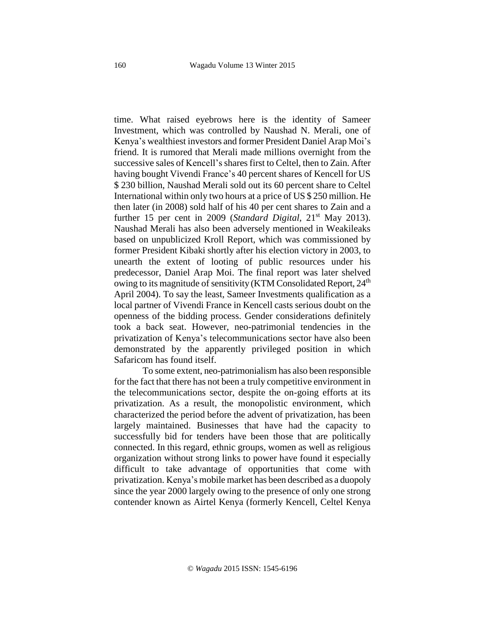time. What raised eyebrows here is the identity of Sameer Investment, which was controlled by Naushad N. Merali, one of Kenya's wealthiest investors and former President Daniel Arap Moi's friend. It is rumored that Merali made millions overnight from the successive sales of Kencell's shares first to Celtel, then to Zain. After having bought Vivendi France's 40 percent shares of Kencell for US \$ 230 billion, Naushad Merali sold out its 60 percent share to Celtel International within only two hours at a price of US \$ 250 million. He then later (in 2008) sold half of his 40 per cent shares to Zain and a further 15 per cent in 2009 (*Standard Digital*, 21<sup>st</sup> May 2013). Naushad Merali has also been adversely mentioned in Weakileaks based on unpublicized Kroll Report, which was commissioned by former President Kibaki shortly after his election victory in 2003, to unearth the extent of looting of public resources under his predecessor, Daniel Arap Moi. The final report was later shelved owing to its magnitude of sensitivity (KTM Consolidated Report, 24<sup>th</sup> April 2004). To say the least, Sameer Investments qualification as a local partner of Vivendi France in Kencell casts serious doubt on the openness of the bidding process. Gender considerations definitely took a back seat. However, neo-patrimonial tendencies in the privatization of Kenya's telecommunications sector have also been demonstrated by the apparently privileged position in which Safaricom has found itself.

To some extent, neo-patrimonialism has also been responsible for the fact that there has not been a truly competitive environment in the telecommunications sector, despite the on-going efforts at its privatization. As a result, the monopolistic environment, which characterized the period before the advent of privatization, has been largely maintained. Businesses that have had the capacity to successfully bid for tenders have been those that are politically connected. In this regard, ethnic groups, women as well as religious organization without strong links to power have found it especially difficult to take advantage of opportunities that come with privatization. Kenya's mobile market has been described as a duopoly since the year 2000 largely owing to the presence of only one strong contender known as Airtel Kenya (formerly Kencell, Celtel Kenya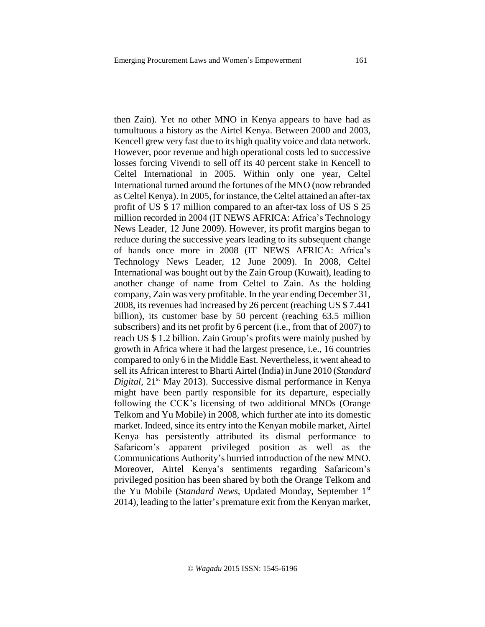then Zain). Yet no other MNO in Kenya appears to have had as tumultuous a history as the Airtel Kenya. Between 2000 and 2003, Kencell grew very fast due to its high quality voice and data network. However, poor revenue and high operational costs led to successive losses forcing Vivendi to sell off its 40 percent stake in Kencell to Celtel International in 2005. Within only one year, Celtel International turned around the fortunes of the MNO (now rebranded as Celtel Kenya). In 2005, for instance, theCeltel attained an after-tax profit of US \$ 17 million compared to an after-tax loss of US \$ 25 million recorded in 2004 (IT NEWS AFRICA: Africa's Technology News Leader, 12 June 2009). However, its profit margins began to reduce during the successive years leading to its subsequent change of hands once more in 2008 (IT NEWS AFRICA: Africa's Technology News Leader, 12 June 2009). In 2008, Celtel International was bought out by the Zain Group (Kuwait), leading to another change of name from Celtel to Zain. As the holding company, Zain was very profitable. In the year ending December 31, 2008, its revenues had increased by 26 percent (reaching US \$ 7.441 billion), its customer base by 50 percent (reaching 63.5 million subscribers) and its net profit by 6 percent (i.e., from that of 2007) to reach US \$ 1.2 billion. Zain Group's profits were mainly pushed by growth in Africa where it had the largest presence, i.e., 16 countries compared to only 6 in the Middle East. Nevertheless, it went ahead to sell its African interest to Bharti Airtel (India) in June 2010 (*Standard Digital*, 21st May 2013). Successive dismal performance in Kenya might have been partly responsible for its departure, especially following the CCK's licensing of two additional MNOs (Orange Telkom and Yu Mobile) in 2008, which further ate into its domestic market. Indeed, since its entry into the Kenyan mobile market, Airtel Kenya has persistently attributed its dismal performance to Safaricom's apparent privileged position as well as the Communications Authority's hurried introduction of the new MNO. Moreover, Airtel Kenya's sentiments regarding Safaricom's privileged position has been shared by both the Orange Telkom and the Yu Mobile (*Standard News*, Updated Monday, September 1 st 2014), leading to the latter's premature exit from the Kenyan market,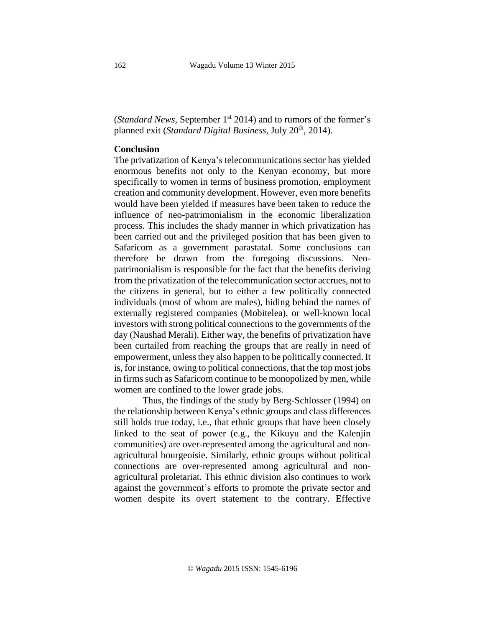(*Standard News*, September 1 st 2014) and to rumors of the former's planned exit (*Standard Digital Business*, July 20th , 2014).

# **Conclusion**

The privatization of Kenya's telecommunications sector has yielded enormous benefits not only to the Kenyan economy, but more specifically to women in terms of business promotion, employment creation and community development. However, even more benefits would have been yielded if measures have been taken to reduce the influence of neo-patrimonialism in the economic liberalization process. This includes the shady manner in which privatization has been carried out and the privileged position that has been given to Safaricom as a government parastatal. Some conclusions can therefore be drawn from the foregoing discussions. Neopatrimonialism is responsible for the fact that the benefits deriving from the privatization of the telecommunication sector accrues, not to the citizens in general, but to either a few politically connected individuals (most of whom are males), hiding behind the names of externally registered companies (Mobitelea), or well-known local investors with strong political connections to the governments of the day (Naushad Merali). Either way, the benefits of privatization have been curtailed from reaching the groups that are really in need of empowerment, unless they also happen to be politically connected. It is, for instance, owing to political connections, that the top most jobs in firms such as Safaricom continue to be monopolized bymen, while women are confined to the lower grade jobs.

Thus, the findings of the study by Berg-Schlosser (1994) on the relationship between Kenya's ethnic groups and class differences still holds true today, i.e., that ethnic groups that have been closely linked to the seat of power (e.g., the Kikuyu and the Kalenjin communities) are over-represented among the agricultural and nonagricultural bourgeoisie. Similarly, ethnic groups without political connections are over-represented among agricultural and nonagricultural proletariat. This ethnic division also continues to work against the government's efforts to promote the private sector and women despite its overt statement to the contrary. Effective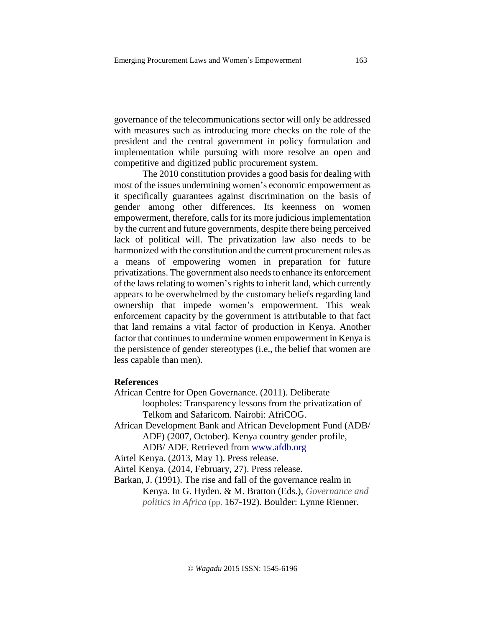governance of the telecommunications sector will only be addressed with measures such as introducing more checks on the role of the president and the central government in policy formulation and implementation while pursuing with more resolve an open and competitive and digitized public procurement system.

The 2010 constitution provides a good basis for dealing with most of the issues undermining women's economic empowerment as it specifically guarantees against discrimination on the basis of gender among other differences. Its keenness on women empowerment, therefore, calls for its more judicious implementation by the current and future governments, despite there being perceived lack of political will. The privatization law also needs to be harmonized with the constitution and the current procurement rules as a means of empowering women in preparation for future privatizations. The government also needs to enhance its enforcement of the laws relating to women's rights to inherit land, which currently appears to be overwhelmed by the customary beliefs regarding land ownership that impede women's empowerment. This weak enforcement capacity by the government is attributable to that fact that land remains a vital factor of production in Kenya. Another factor that continues to undermine women empowerment in Kenya is the persistence of gender stereotypes (i.e., the belief that women are less capable than men).

#### **References**

African Centre for Open Governance. (2011). Deliberate loopholes: Transparency lessons from the privatization of Telkom and Safaricom. Nairobi: AfriCOG.

African Development Bank and African Development Fund (ADB/ ADF) (2007, October). Kenya country gender profile, ADB/ ADF. Retrieved from www.afdb.org

Airtel Kenya. (2013, May 1). Press release.

Airtel Kenya. (2014, February, 27). Press release.

Barkan, J. (1991). The rise and fall of the governance realm in

Kenya. In G. Hyden. & M. Bratton (Eds.), *Governance and politics in Africa* (pp. 167-192). Boulder: Lynne Rienner.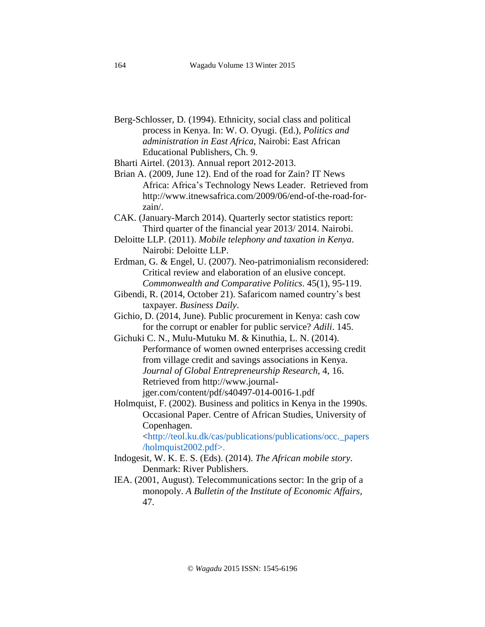Berg-Schlosser, D. (1994). Ethnicity, social class and political process in Kenya. In: W. O. Oyugi. (Ed.), *Politics and administration in East Africa,* Nairobi: East African Educational Publishers, Ch. 9.

Bharti Airtel. (2013). Annual report 2012-2013.

- Brian A. (2009, June 12). End of the road for Zain? IT News Africa: Africa's Technology News Leader. Retrieved from http://www.itnewsafrica.com/2009/06/end-of-the-road-forzain/.
- CAK. (January-March 2014). Quarterly sector statistics report: Third quarter of the financial year 2013/ 2014. Nairobi.
- Deloitte LLP. (2011). *Mobile telephony and taxation in Kenya*. Nairobi: Deloitte LLP.
- Erdman, G. & Engel, U. (2007). Neo-patrimonialism reconsidered: Critical review and elaboration of an elusive concept. *Commonwealth and Comparative Politics*. 45(1), 95-119.
- Gibendi, R. (2014, October 21). Safaricom named country's best taxpayer. *Business Daily*.
- Gichio, D. (2014, June). Public procurement in Kenya: cash cow for the corrupt or enabler for public service? *Adili*. 145.
- Gichuki C. N., Mulu-Mutuku M. & Kinuthia, L. N. (2014). Performance of women owned enterprises accessing credit from village credit and savings associations in Kenya. *Journal of Global Entrepreneurship Research*, 4, 16. Retrieved from [http://www.journal](http://www.journal-jger.com/content/pdf/s40497-014-0016-1.pdf)[jger.com/content/pdf/s40497-014-0016-1.pdf](http://www.journal-jger.com/content/pdf/s40497-014-0016-1.pdf)

Holmquist, F. (2002). Business and politics in Kenya in the 1990s. Occasional Paper. Centre of African Studies, University of Copenhagen.

<http://teol.ku.dk/cas/publications/publications/occ.\_papers /holmquist2002.pdf>.

- Indogesit, W. K. E. S. (Eds). (2014). *The African mobile story*. Denmark: River Publishers.
- IEA. (2001, August). Telecommunications sector: In the grip of a monopoly. *A Bulletin of the Institute of Economic Affairs,* 47.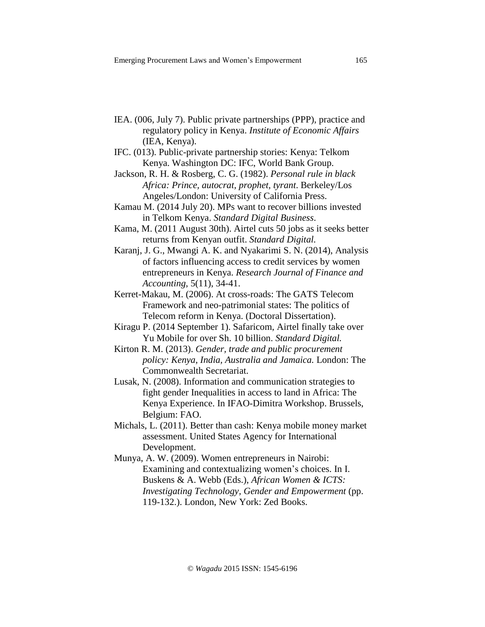- IEA. (006, July 7). Public private partnerships (PPP), practice and regulatory policy in Kenya. *Institute of Economic Affairs* (IEA, Kenya).
- IFC. (013). Public-private partnership stories: Kenya: Telkom Kenya. Washington DC: IFC, World Bank Group.
- Jackson, R. H. & Rosberg, C. G. (1982). *Personal rule in black Africa: Prince, autocrat, prophet, tyrant*. Berkeley/Los Angeles/London: University of California Press.
- Kamau M. (2014 July 20). MPs want to recover billions invested in Telkom Kenya. *Standard Digital Business*.
- Kama, M. (2011 August 30th). Airtel cuts 50 jobs as it seeks better returns from Kenyan outfit. *Standard Digital.*
- Karanj, J. G., Mwangi A. K. and Nyakarimi S. N. (2014), Analysis of factors influencing access to credit services by women entrepreneurs in Kenya. *Research Journal of Finance and Accounting*, 5(11), 34-41.
- Kerret-Makau, M. (2006). At cross-roads: The GATS Telecom Framework and neo-patrimonial states: The politics of Telecom reform in Kenya. (Doctoral Dissertation).
- Kiragu P. (2014 September 1). Safaricom, Airtel finally take over Yu Mobile for over Sh. 10 billion. *Standard Digital.*
- Kirton R. M. (2013). *Gender, trade and public procurement policy: Kenya, India, Australia and Jamaica.* London: The Commonwealth Secretariat.
- Lusak, N. (2008). Information and communication strategies to fight gender Inequalities in access to land in Africa: The Kenya Experience. In IFAO-Dimitra Workshop. Brussels, Belgium: FAO.
- Michals, L. (2011). Better than cash: Kenya mobile money market assessment. United States Agency for International Development.

Munya, A. W. (2009). Women entrepreneurs in Nairobi: Examining and contextualizing women's choices. In I. Buskens & A. Webb (Eds.), *[African](http://idl-bnc.idrc.ca/dspace/bitstream/10625/37700/1/127929.pdf) Women & ICTS: Investigating Technology, Gender and [Empowerment](http://idl-bnc.idrc.ca/dspace/bitstream/10625/37700/1/127929.pdf)* (pp. 119-132.). London, New York: Zed Books.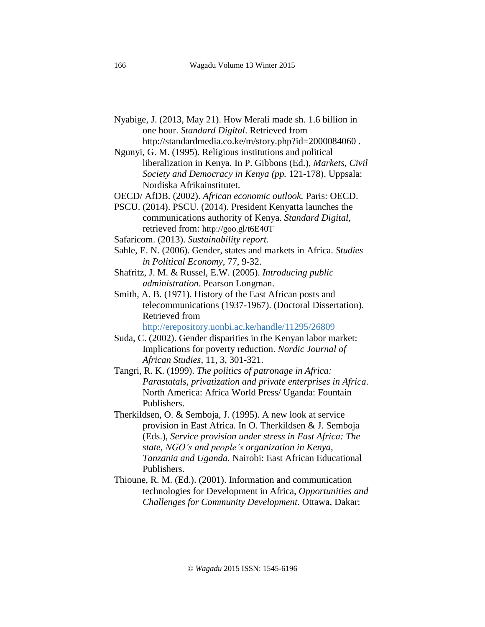Nyabige, J. (2013, May 21). How Merali made sh. 1.6 billion in one hour. *Standard Digital*. Retrieved from

<http://standardmedia.co.ke/m/story.php?id=2000084060> . Ngunyi, G. M. (1995). Religious institutions and political

liberalization in Kenya. In P. Gibbons (Ed.), *Markets, Civil Society and Democracy in Kenya (pp.* 121-178). Uppsala: Nordiska Afrikainstitutet.

OECD/ AfDB. (2002). *African economic outlook.* Paris: OECD.

- PSCU. (2014). PSCU. (2014). President Kenyatta launches the communications authority of Kenya. *Standard Digital*, retrieved from: <http://goo.gl/t6E40T>
- Safaricom. (2013). *Sustainability report.*
- Sahle, E. N. (2006). Gender, states and markets in Africa. *Studies in Political Economy*, 77, 9-32.
- Shafritz, J. M. & Russel, E.W. (2005). *Introducing public administration*. Pearson Longman.
- Smith, A. B. (1971). History of the East African posts and telecommunications (1937-1967). (Doctoral Dissertation). Retrieved from

http://erepository.uonbi.ac.ke/handle/11295/26809

- Suda, C. (2002). Gender disparities in the Kenyan labor market: Implications for poverty reduction. *Nordic Journal of African Studies*, 11, 3, 301-321.
- Tangri, R. K. (1999). *The politics of patronage in Africa: Parastatals, privatization and private enterprises in Africa*. North America: Africa World Press/ Uganda: Fountain Publishers.
- Therkildsen, O. & Semboja, J. (1995). A new look at service provision in East Africa. In O. Therkildsen & J. Semboja (Eds.), *Service provision under stress in East Africa: The state, NGO's and people's organization in Kenya, Tanzania and Uganda.* Nairobi: East African Educational Publishers.
- Thioune, R. M. (Ed.). (2001). Information and communication technologies for Development in Africa, *Opportunities and Challenges for Community Development*. Ottawa, Dakar: